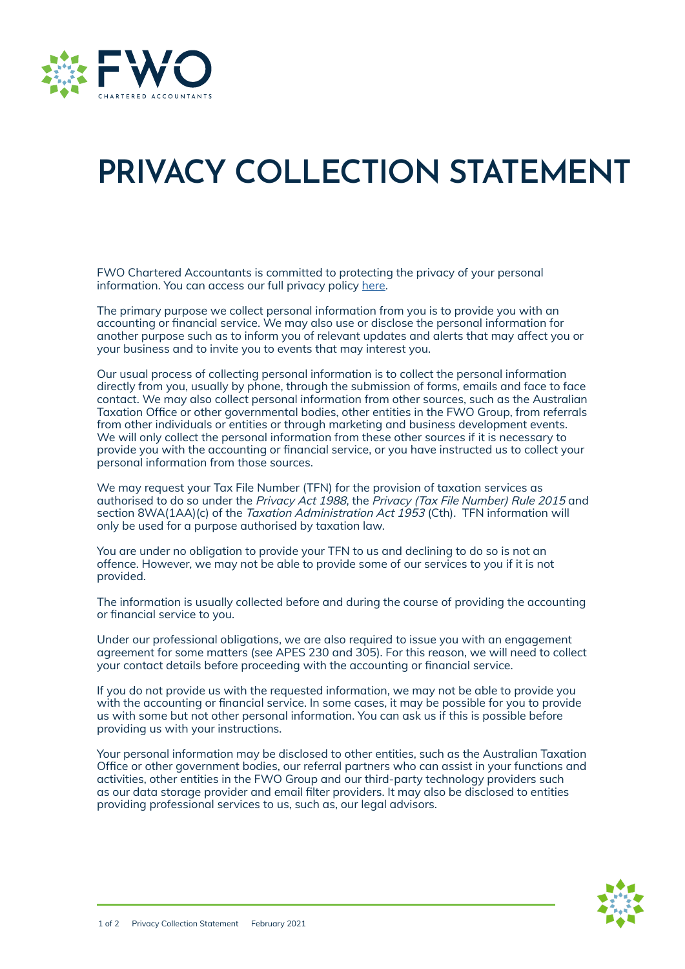

## **PRIVACY COLLECTION STATEMENT**

FWO Chartered Accountants is committed to protecting the privacy of your personal information. You can access our full privacy policy [here.](https://fwoca.com.au/wp-content/uploads/2021/12/GrowFWO-Privacy-Policy.pdf)

The primary purpose we collect personal information from you is to provide you with an accounting or financial service. We may also use or disclose the personal information for another purpose such as to inform you of relevant updates and alerts that may affect you or your business and to invite you to events that may interest you.

Our usual process of collecting personal information is to collect the personal information directly from you, usually by phone, through the submission of forms, emails and face to face contact. We may also collect personal information from other sources, such as the Australian Taxation Office or other governmental bodies, other entities in the FWO Group, from referrals from other individuals or entities or through marketing and business development events. We will only collect the personal information from these other sources if it is necessary to provide you with the accounting or financial service, or you have instructed us to collect your personal information from those sources.

We may request your Tax File Number (TFN) for the provision of taxation services as authorised to do so under the *Privacy Act 1988*, the *Privacy (Tax File Number) Rule 2015* and section 8WA(1AA)(c) of the *Taxation Administration Act 1953* (Cth). TFN information will only be used for a purpose authorised by taxation law.

You are under no obligation to provide your TFN to us and declining to do so is not an offence. However, we may not be able to provide some of our services to you if it is not provided.

The information is usually collected before and during the course of providing the accounting or financial service to you.

Under our professional obligations, we are also required to issue you with an engagement agreement for some matters (see APES 230 and 305). For this reason, we will need to collect your contact details before proceeding with the accounting or financial service.

If you do not provide us with the requested information, we may not be able to provide you with the accounting or financial service. In some cases, it may be possible for you to provide us with some but not other personal information. You can ask us if this is possible before providing us with your instructions.

Your personal information may be disclosed to other entities, such as the Australian Taxation Office or other government bodies, our referral partners who can assist in your functions and activities, other entities in the FWO Group and our third-party technology providers such as our data storage provider and email filter providers. It may also be disclosed to entities providing professional services to us, such as, our legal advisors.